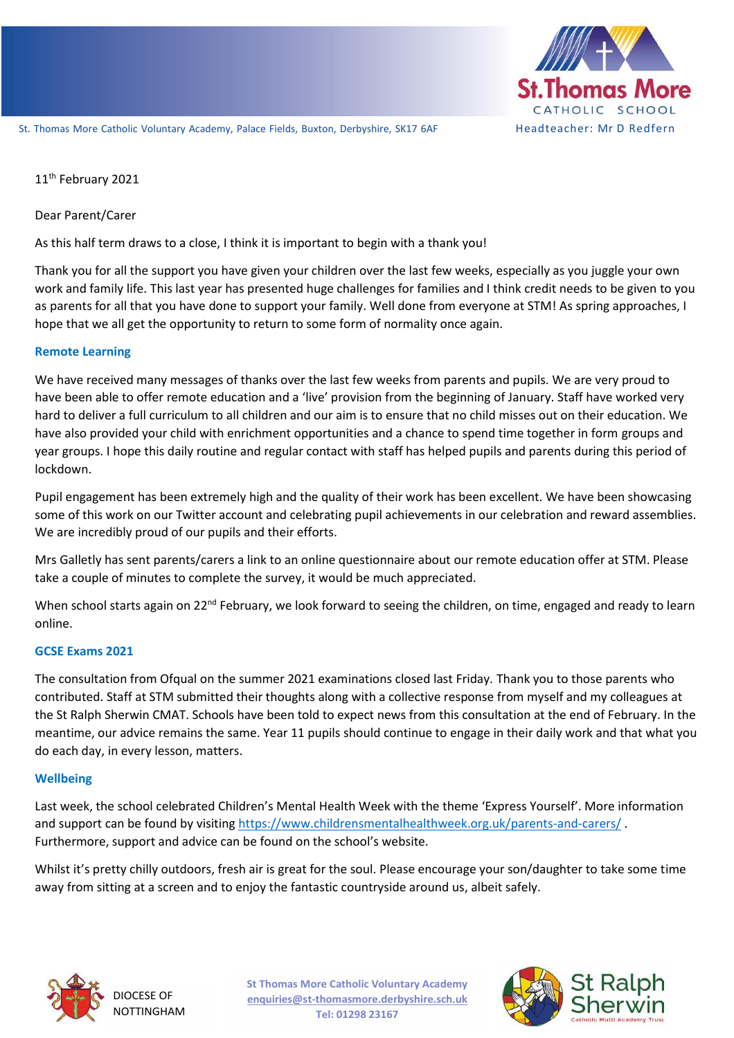

# 11<sup>th</sup> February 2021

### Dear Parent/Carer

As this half term draws to a close, I think it is important to begin with a thank you!

Thank you for all the support you have given your children over the last few weeks, especially as you juggle your own work and family life. This last year has presented huge challenges for families and I think credit needs to be given to you as parents for all that you have done to support your family. Well done from everyone at STM! As spring approaches, I hope that we all get the opportunity to return to some form of normality once again.

### **Remote Learning**

We have received many messages of thanks over the last few weeks from parents and pupils. We are very proud to have been able to offer remote education and a 'live' provision from the beginning of January. Staff have worked very hard to deliver a full curriculum to all children and our aim is to ensure that no child misses out on their education. We have also provided your child with enrichment opportunities and a chance to spend time together in form groups and year groups. I hope this daily routine and regular contact with staff has helped pupils and parents during this period of lockdown.

Pupil engagement has been extremely high and the quality of their work has been excellent. We have been showcasing some of this work on our Twitter account and celebrating pupil achievements in our celebration and reward assemblies. We are incredibly proud of our pupils and their efforts.

Mrs Galletly has sent parents/carers a link to an online questionnaire about our remote education offer at STM. Please take a couple of minutes to complete the survey, it would be much appreciated.

When school starts again on  $22^{nd}$  February, we look forward to seeing the children, on time, engaged and ready to learn online.

# **GCSE Exams 2021**

The consultation from Ofqual on the summer 2021 examinations closed last Friday. Thank you to those parents who contributed. Staff at STM submitted their thoughts along with a collective response from myself and my colleagues at the St Ralph Sherwin CMAT. Schools have been told to expect news from this consultation at the end of February. In the meantime, our advice remains the same. Year 11 pupils should continue to engage in their daily work and that what you do each day, in every lesson, matters.

# **Wellbeing**

Last week, the school celebrated Children's Mental Health Week with the theme 'Express Yourself'. More information and support can be found by visiting<https://www.childrensmentalhealthweek.org.uk/parents-and-carers/>. Furthermore, support and advice can be found on the school's website.

Whilst it's pretty chilly outdoors, fresh air is great for the soul. Please encourage your son/daughter to take some time away from sitting at a screen and to enjoy the fantastic countryside around us, albeit safely.